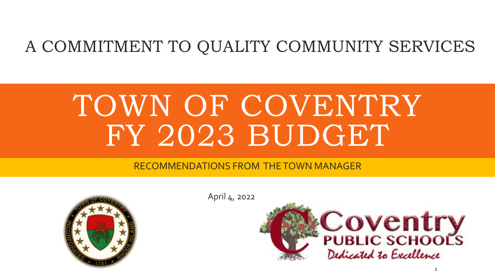#### A COMMITMENT TO QUALITY COMMUNITY SERVICES

# TOWN OF COVENTRY FY 2023 BUDGET

#### RECOMMENDATIONS FROM THE TOWN MANAGER



April 4, 2022

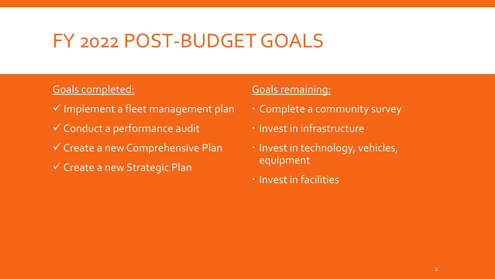### FY 2022 POST-BUDGET GOALS

#### Goals completed:

- $\checkmark$  Implement a fleet management plan
- Conduct a performance audit
- $\checkmark$  Create a new Comprehensive Plan
- $\checkmark$  Create a new Strategic Plan

#### Goals remaining:

- Complete a community survey
- **· Invest in infrastructure**
- Invest in technology, vehicles, equipment
- **· Invest in facilities**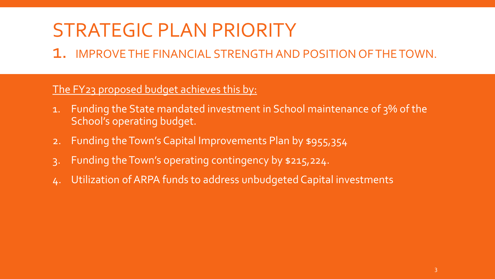# STRATEGIC PLAN PRIORITY

1. IMPROVE THE FINANCIAL STRENGTH AND POSITION OF THE TOWN.

#### The FY23 proposed budget achieves this by:

- 1. Funding the State mandated investment in School maintenance of 3% of the School's operating budget.
- 2. Funding the Town's Capital Improvements Plan by \$955,354
- 3. Funding the Town's operating contingency by \$215,224.
- Utilization of ARPA funds to address unbudgeted Capital investments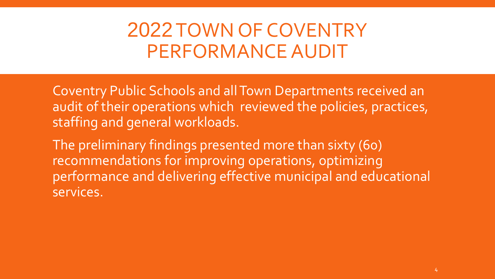# 2022TOWN OF COVENTRY PERFORMANCE AUDIT

Coventry Public Schools and all Town Departments received an audit of their operations which reviewed the policies, practices, staffing and general workloads.

The preliminary findings presented more than sixty (60) recommendations for improving operations, optimizing performance and delivering effective municipal and educational services.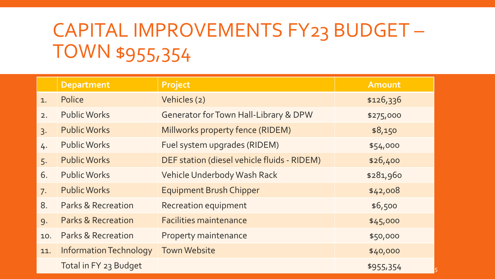# CAPITAL IMPROVEMENTS FY23 BUDGET – TOWN \$955,354

|     | <b>Department</b>             | <b>Project</b>                                   | <b>Amount</b> |
|-----|-------------------------------|--------------------------------------------------|---------------|
| 1.  | Police                        | Vehicles (2)                                     | \$126,336     |
| 2.  | <b>Public Works</b>           | <b>Generator for Town Hall-Library &amp; DPW</b> | \$275,000     |
| 3.  | <b>Public Works</b>           | Millworks property fence (RIDEM)                 | \$8,150       |
| 4.  | <b>Public Works</b>           | Fuel system upgrades (RIDEM)                     | \$54,000      |
| 5.  | <b>Public Works</b>           | DEF station (diesel vehicle fluids - RIDEM)      | \$26,400      |
| 6.  | <b>Public Works</b>           | <b>Vehicle Underbody Wash Rack</b>               | \$281,960     |
| 7.  | <b>Public Works</b>           | <b>Equipment Brush Chipper</b>                   | \$42,008      |
| 8.  | <b>Parks &amp; Recreation</b> | <b>Recreation equipment</b>                      | \$6,500       |
| 9.  | <b>Parks &amp; Recreation</b> | <b>Facilities maintenance</b>                    | \$45,000      |
| 10. | <b>Parks &amp; Recreation</b> | <b>Property maintenance</b>                      | \$50,000      |
| 11. | <b>Information Technology</b> | <b>Town Website</b>                              | \$40,000      |
|     | Total in FY 23 Budget         |                                                  | \$955,354     |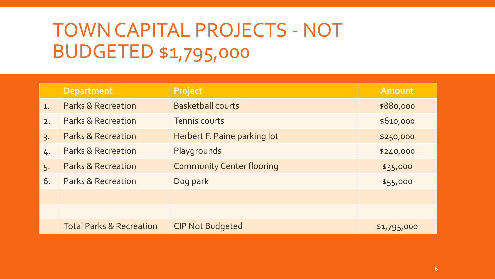# TOWN CAPITAL PROJECTS - NOT BUDGETED \$1,795,000

|                  | <b>Department</b>                   | Project                          | <b>Amount</b> |
|------------------|-------------------------------------|----------------------------------|---------------|
| 1.               | <b>Parks &amp; Recreation</b>       | <b>Basketball courts</b>         | \$880,000     |
| 2.               | Parks & Recreation                  | <b>Tennis courts</b>             | \$610,000     |
| $\overline{3}$ . | <b>Parks &amp; Recreation</b>       | Herbert F. Paine parking lot     | \$250,000     |
| 4.               | <b>Parks &amp; Recreation</b>       | Playgrounds                      | \$240,000     |
| 5.               | <b>Parks &amp; Recreation</b>       | <b>Community Center flooring</b> | \$35,000      |
| 6.               | <b>Parks &amp; Recreation</b>       | Dog park                         | \$55,000      |
|                  |                                     |                                  |               |
|                  |                                     |                                  |               |
|                  | <b>Total Parks &amp; Recreation</b> | <b>CIP Not Budgeted</b>          | \$1,795,000   |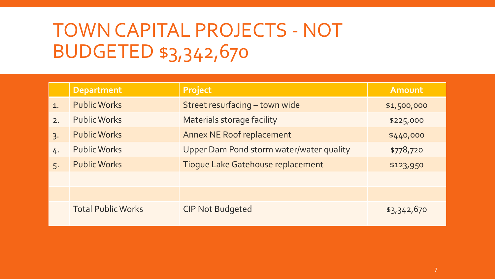# TOWN CAPITAL PROJECTS - NOT BUDGETED \$3,342,670

|    | <b>Department</b>         | Project                                  | <b>Amount</b> |
|----|---------------------------|------------------------------------------|---------------|
| 1. | <b>Public Works</b>       | Street resurfacing - town wide           | \$1,500,000   |
| 2. | <b>Public Works</b>       | <b>Materials storage facility</b>        | \$225,000     |
| 3. | <b>Public Works</b>       | <b>Annex NE Roof replacement</b>         | \$440,000     |
| 4. | <b>Public Works</b>       | Upper Dam Pond storm water/water quality | \$778,720     |
| 5. | <b>Public Works</b>       | Tioque Lake Gatehouse replacement        | \$123,950     |
|    |                           |                                          |               |
|    |                           |                                          |               |
|    | <b>Total Public Works</b> | <b>CIP Not Budgeted</b>                  | \$3,342,670   |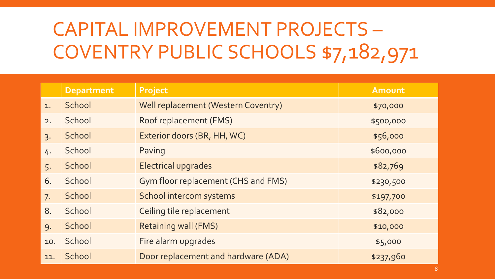# CAPITAL IMPROVEMENT PROJECTS – COVENTRY PUBLIC SCHOOLS \$7,182,971

|     | <b>Department</b> | Project                             | Amount    |
|-----|-------------------|-------------------------------------|-----------|
| 1.  | School            | Well replacement (Western Coventry) | \$70,000  |
| 2.  | School            | Roof replacement (FMS)              | \$500,000 |
| 3.  | School            | Exterior doors (BR, HH, WC)         | \$56,000  |
| 4.  | School            | Paving                              | \$600,000 |
| 5.  | School            | Electrical upgrades                 | \$82,769  |
| 6.  | School            | Gym floor replacement (CHS and FMS) | \$230,500 |
| 7.  | School            | School intercom systems             | \$197,700 |
| 8.  | School            | Ceiling tile replacement            | \$82,000  |
| 9.  | School            | <b>Retaining wall (FMS)</b>         | \$10,000  |
| 10. | School            | Fire alarm upgrades                 | \$5,000   |
| 11. | School            | Door replacement and hardware (ADA) | \$237,960 |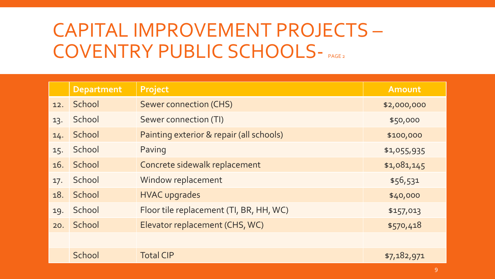# CAPITAL IMPROVEMENT PROJECTS – COVENTRY PUBLIC SCHOOLS- PAGE2

|     | <b>Department</b> | Project                                  | <b>Amount</b> |
|-----|-------------------|------------------------------------------|---------------|
| 12. | School            | <b>Sewer connection (CHS)</b>            | \$2,000,000   |
| 13. | School            | <b>Sewer connection (TI)</b>             | \$50,000      |
| 14. | School            | Painting exterior & repair (all schools) | \$100,000     |
| 15. | School            | Paving                                   | \$1,055,935   |
|     | 16. School        | Concrete sidewalk replacement            | \$1,081,145   |
| 17. | School            | Window replacement                       | \$56,531      |
| 18. | School            | <b>HVAC upgrades</b>                     | \$40,000      |
| 19. | School            | Floor tile replacement (TI, BR, HH, WC)  | \$157,013     |
| 20. | School            | Elevator replacement (CHS, WC)           | \$570,418     |
|     |                   |                                          |               |
|     | School            | <b>Total CIP</b>                         | \$7,182,971   |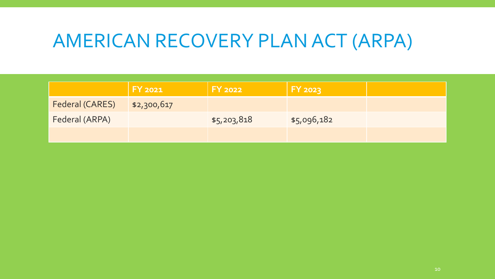### AMERICAN RECOVERY PLAN ACT (ARPA)

|                 | <b>FY 2021</b> | <b>FY 2022</b> | <b>FY 2023</b> |  |
|-----------------|----------------|----------------|----------------|--|
| Federal (CARES) | \$2,300,617    |                |                |  |
| Federal (ARPA)  |                | \$5,203,818    | \$5,096,182    |  |
|                 |                |                |                |  |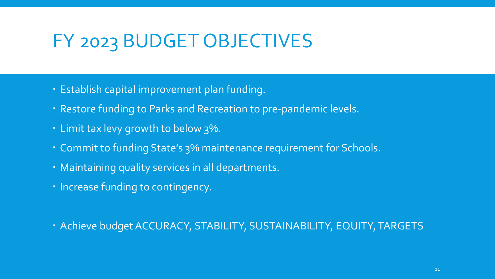### FY 2023 BUDGET OBJECTIVES

- Establish capital improvement plan funding.
- Restore funding to Parks and Recreation to pre-pandemic levels.
- Limit tax levy growth to below 3%.
- Commit to funding State's 3% maintenance requirement for Schools.
- Maintaining quality services in all departments.
- · Increase funding to contingency.

Achieve budget ACCURACY, STABILITY, SUSTAINABILITY, EQUITY, TARGETS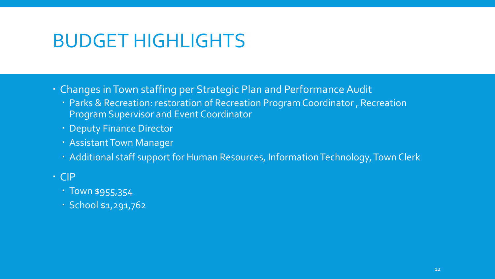### BUDGET HIGHLIGHTS

- Changes in Town staffing per Strategic Plan and Performance Audit
	- Parks & Recreation: restoration of Recreation Program Coordinator , Recreation Program Supervisor and Event Coordinator
	- Deputy Finance Director
	- Assistant Town Manager
	- Additional staff support for Human Resources, Information Technology, Town Clerk

#### CIP

- **Town \$955,354**
- School \$1,291,762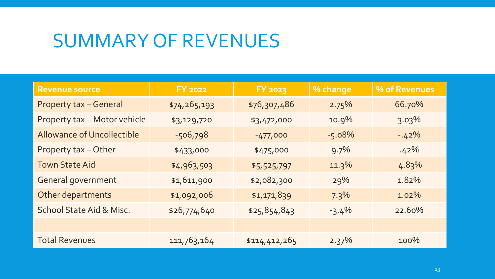### SUMMARY OF REVENUES

| <b>Revenue source</b>             | <b>FY 2022</b> | <b>FY 2023</b> | % change | % of Revenues |
|-----------------------------------|----------------|----------------|----------|---------------|
| <b>Property tax - General</b>     | \$74,265,193   | \$76,307,486   | 2.75%    | 66.70%        |
| Property tax - Motor vehicle      | \$3,129,720    | \$3,472,000    | 10.9%    | $3.03\%$      |
| <b>Allowance of Uncollectible</b> | $-506,798$     | $-477,000$     | $-5.08%$ | $-42%$        |
| Property tax - Other              | \$433,000      | \$475,000      | 9.7%     | $.42\%$       |
| <b>Town State Aid</b>             | \$4,963,503    | \$5,525,797    | $11.3\%$ | 4.83%         |
| General government                | \$1,611,900    | \$2,082,300    | 29%      | 1.82%         |
| Other departments                 | \$1,092,006    | \$1,171,839    | 7.3%     | $1.02\%$      |
| School State Aid & Misc.          | \$26,774,640   | \$25,854,843   | $-3.4\%$ | 22.60%        |
|                                   |                |                |          |               |
| <b>Total Revenues</b>             | 111,763,164    | \$114,412,265  | 2.37%    | 100%          |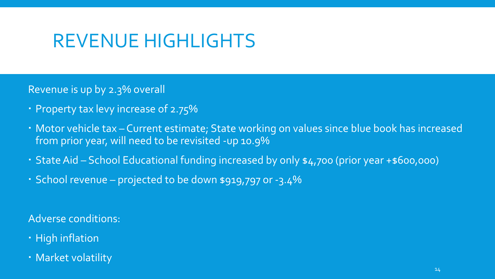### REVENUE HIGHLIGHTS

Revenue is up by 2.3% overall

- Property tax levy increase of 2.75%
- Motor vehicle tax Current estimate; State working on values since blue book has increased from prior year, will need to be revisited -up 10.9%
- State Aid School Educational funding increased by only \$4,700 (prior year +\$600,000)
- School revenue projected to be down \$919,797 or -3.4%

Adverse conditions:

- High inflation
- Market volatility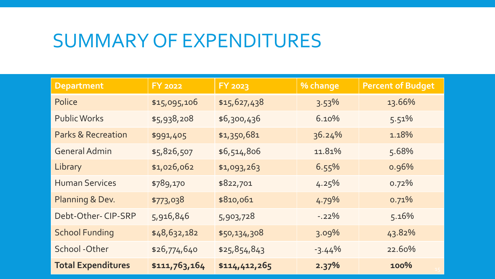#### SUMMARY OF EXPENDITURES

| <b>Department</b>             | <b>FY 2022</b> | <b>FY 2023</b> | % change  | <b>Percent of Budget</b> |
|-------------------------------|----------------|----------------|-----------|--------------------------|
| Police                        | \$15,095,106   | \$15,627,438   | 3.53%     | 13.66%                   |
| <b>Public Works</b>           | \$5,938,208    | \$6,300,436    | 6.10%     | 5.51%                    |
| <b>Parks &amp; Recreation</b> | \$991,405      | \$1,350,681    | 36.24%    | 1.18%                    |
| <b>General Admin</b>          | \$5,826,507    | \$6,514,806    | 11.81%    | 5.68%                    |
| Library                       | \$1,026,062    | \$1,093,263    | 6.55%     | 0.96%                    |
| <b>Human Services</b>         | \$789,170      | \$822,701      | 4.25%     | 0.72%                    |
| Planning & Dev.               | \$773,038      | \$810,061      | 4.79%     | 0.71%                    |
| Debt-Other-CIP-SRP            | 5,916,846      | 5,903,728      | $-0.22\%$ | 5.16%                    |
| <b>School Funding</b>         | \$48,632,182   | \$50,134,308   | 3.09%     | 43.82%                   |
| School-Other                  | \$26,774,640   | \$25,854,843   | $-3.44%$  | 22.60%                   |
| <b>Total Expenditures</b>     | \$111,763,164  | \$114,412,265  | 2.37%     | 100%                     |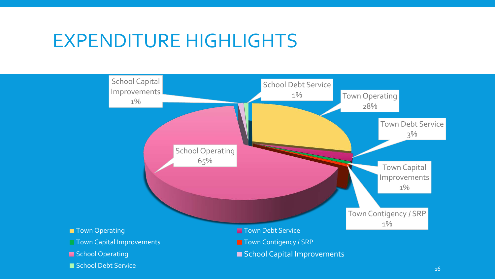#### EXPENDITURE HIGHLIGHTS

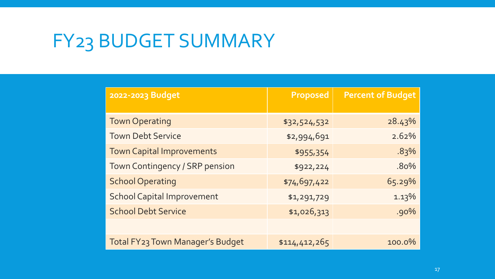# FY23 BUDGET SUMMARY

| 2022-2023 Budget                        | Proposed      | <b>Percent of Budget</b> |
|-----------------------------------------|---------------|--------------------------|
| <b>Town Operating</b>                   | \$32,524,532  | 28.43%                   |
| <b>Town Debt Service</b>                | \$2,994,691   | 2.62%                    |
| <b>Town Capital Improvements</b>        | \$955,354     | .83%                     |
| Town Contingency / SRP pension          | \$922,224     | .80%                     |
| <b>School Operating</b>                 | \$74,697,422  | 65.29%                   |
| <b>School Capital Improvement</b>       | \$1,291,729   | 1.13%                    |
| <b>School Debt Service</b>              | \$1,026,313   | .90%                     |
|                                         |               |                          |
| <b>Total FY23 Town Manager's Budget</b> | \$114,412,265 | 100.0%                   |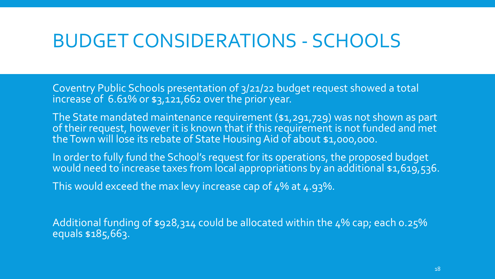### BUDGET CONSIDERATIONS - SCHOOLS

Coventry Public Schools presentation of 3/21/22 budget request showed a total increase of  $6.61\%$  or  $\frac{1}{21,662}$  over the prior year.

The State mandated maintenance requirement (\$1,291,729) was not shown as part of their request, however it is known that if this requirement is not funded and met the Town will lose its rebate of State Housing Aid of about \$1,000,000.

In order to fully fund the School's request for its operations, the proposed budget would need to increase taxes from local appropriations by an additional \$1,619,536.

This would exceed the max levy increase cap of 4% at 4.93%.

Additional funding of \$928,314 could be allocated within the 4% cap; each 0.25% equals \$185,663.